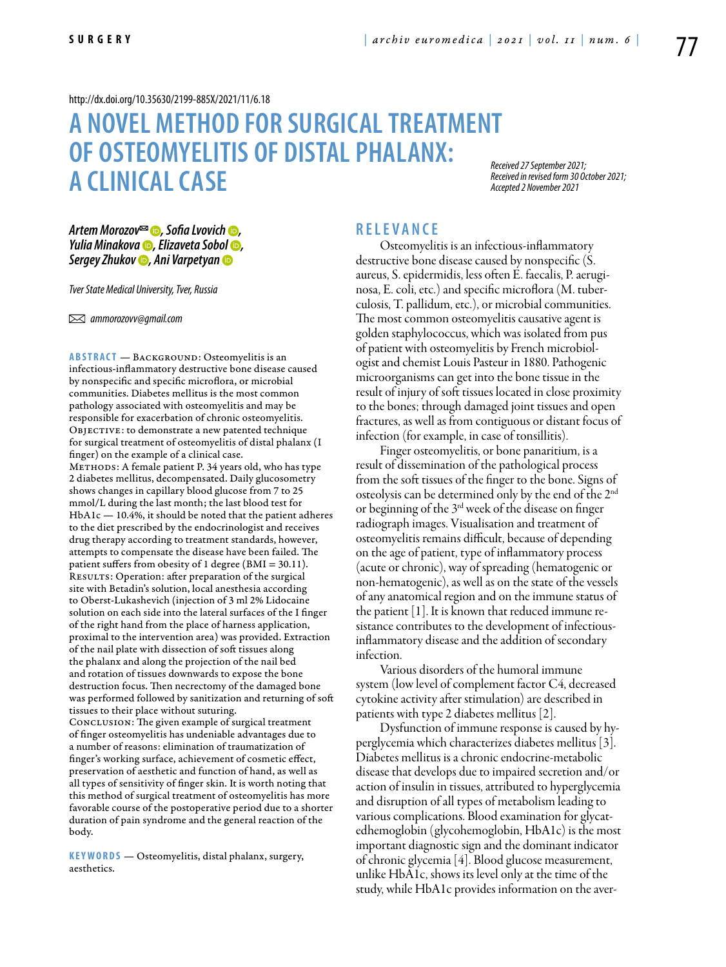#### <http://dx.doi.org/10.35630/2199-885X/2021/11/6.18>

# **A NOVEL METHOD FOR SURGICALTREATMENT OF OSTEOMYELITIS OF DISTAL PHALANX: A CLINICAL CASE**

*Received 27 September 2021; Received in revised form 30 October 2021; Accepted 2 November 2021*

*[Artem Morozov](https://orcid.org/0000-0003-4213-5379)*<sup> $\textcircled{•}$ , [Sofia Lvovich](https://orcid.org/0000-0003-0051-8267) **☉**,</sup> *[Yulia Minakova](https://orcid.org/0000-0001-5816-1681) , [Elizaveta Sobol](https://orcid.org/0000-0001-8428-6824) , [Sergey Zhukov](https://orcid.org/0000-0002-3145-9776) , [Ani Varpetyan](https://orcid.org/0000-0003-4839-0311)*

*Tver State Medical University, Tver, Russia*

 *ammorozovv@gmail.com*

ABSTRACT — BACKGROUND: Osteomyelitis is an infectious-inflammatory destructive bone disease caused by nonspecific and specific microflora, or microbial communities. Diabetes mellitus is the most common pathology associated with osteomyelitis and may be responsible for exacerbation of chronic osteomyelitis. OBJECTIVE: to demonstrate a new patented technique for surgical treatment of osteomyelitis of distal phalanx (I finger) on the example of a clinical case.

METHODS: A female patient P. 34 years old, who has type 2 diabetes mellitus, decompensated. Daily glucosometry shows changes in capillary blood glucose from 7 to 25 mmol/L during the last month; the last blood test for HbA1c — 10.4%, it should be noted that the patient adheres to the diet prescribed by the endocrinologist and receives drug therapy according to treatment standards, however, attempts to compensate the disease have been failed. The patient suffers from obesity of 1 degree (BMI = 30.11). RESULTS: Operation: after preparation of the surgical site with Betadin's solution, local anesthesia according to Oberst-Lukashevich (injection of 3 ml 2% Lidocaine solution on each side into the lateral surfaces of the I finger of the right hand from the place of harness application, proximal to the intervention area) was provided. Extraction of the nail plate with dissection of soft tissues along the phalanx and along the projection of the nail bed and rotation of tissues downwards to expose the bone destruction focus. Then necrectomy of the damaged bone was performed followed by sanitization and returning of soft tissues to their place without suturing. Conclusion: The given example of surgical treatment of finger osteomyelitis has undeniable advantages due to a number of reasons: elimination of traumatization of finger's working surface, achievement of cosmetic effect, preservation of aesthetic and function of hand, as well as all types of sensitivity of finger skin. It is worth noting that this method of surgical treatment of osteomyelitis has more

favorable course of the postoperative period due to a shorter duration of pain syndrome and the general reaction of the body.

KEYWORDS - Osteomyelitis, distal phalanx, surgery, aesthetics.

## **R e l e v a n ce**

Osteomyelitis is an infectious-inflammatory destructive bone disease caused by nonspecific (S. aureus, S. epidermidis, less often E. faecalis, P. aeruginosa, E. coli, etc.) and specific microflora (M. tuberculosis, T. pallidum, etc.), or microbial communities. The most common osteomyelitis causative agent is golden staphylococcus, which was isolated from pus of patient with osteomyelitis by French microbiologist and chemist Louis Pasteur in 1880. Pathogenic microorganisms can get into the bone tissue in the result of injury of soft tissues located in close proximity to the bones; through damaged joint tissues and open fractures, as well as from contiguous or distant focus of infection (for example, in case of tonsillitis).

Finger osteomyelitis, or bone panaritium, is a result of dissemination of the pathological process from the soft tissues of the finger to the bone. Signs of osteolysis can be determined only by the end of the 2nd or beginning of the 3rd week of the disease on finger radiograph images. Visualisation and treatment of osteomyelitis remains difficult, because of depending on the age of patient, type of inflammatory process (acute or chronic), way of spreading (hematogenic or non-hematogenic), as well as on the state of the vessels of any anatomical region and on the immune status of the patient [1]. It is known that reduced immune resistance contributes to the development of infectiousinflammatory disease and the addition of secondary infection.

Various disorders of the humoral immune system (low level of complement factor C4, decreased cytokine activity after stimulation) are described in patients with type 2 diabetes mellitus [2].

Dysfunction of immune response is caused by hyperglycemia which characterizes diabetes mellitus [3]. Diabetes mellitus is a chronic endocrine-metabolic disease that develops due to impaired secretion and/or action of insulin in tissues, attributed to hyperglycemia and disruption of all types of metabolism leading to various complications. Blood examination for glycatedhemoglobin (glycohemoglobin, HbA1c) is the most important diagnostic sign and the dominant indicator of chronic glycemia [4]. Blood glucose measurement, unlike HbA1c, shows its level only at the time of the study, while HbA1c provides information on the aver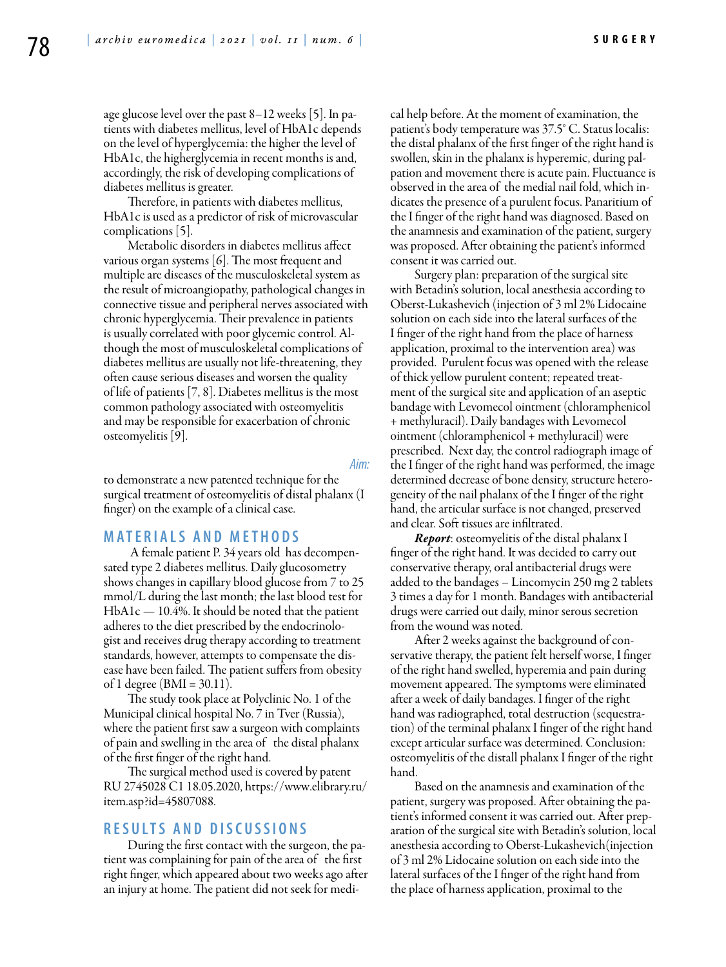age glucose level over the past 8–12 weeks [5]. In patients with diabetes mellitus, level of HbA1c depends on the level of hyperglycemia: the higher the level of HbA1c, the higherglycemia in recent months is and, accordingly, the risk of developing complications of diabetes mellitus is greater.

Therefore, in patients with diabetes mellitus, HbA1c is used as a predictor of risk of microvascular complications [5].

Metabolic disorders in diabetes mellitus affect various organ systems [6]. The most frequent and multiple are diseases of the musculoskeletal system as the result of microangiopathy, pathological changes in connective tissue and peripheral nerves associated with chronic hyperglycemia. Their prevalence in patients is usually correlated with poor glycemic control. Although the most of musculoskeletal complications of diabetes mellitus are usually not life-threatening, they often cause serious diseases and worsen the quality of life of patients [7, 8]. Diabetes mellitus is the most common pathology associated with osteomyelitis and may be responsible for exacerbation of chronic osteomyelitis [9].

*Aim:* 

to demonstrate a new patented technique for the surgical treatment of osteomyelitis of distal phalanx (I finger) on the example of a clinical case.

#### **M a t e r i a l s a n d M e t h o d s**

 A female patient P. 34 years old has decompensated type 2 diabetes mellitus. Daily glucosometry shows changes in capillary blood glucose from 7 to 25 mmol/L during the last month; the last blood test for  $HbA1c - 10.4%$ . It should be noted that the patient adheres to the diet prescribed by the endocrinologist and receives drug therapy according to treatment standards, however, attempts to compensate the disease have been failed. The patient suffers from obesity of 1 degree ( $BMI = 30.11$ ).

The study took place at Polyclinic No. 1 of the Municipal clinical hospital No. 7 in Tver (Russia), where the patient first saw a surgeon with complaints of pain and swelling in the area of the distal phalanx of the first finger of the right hand.

The surgical method used is covered by patent RU 2745028 C1 18.05.2020, https://www.elibrary.ru/ item.asp?id=45807088.

## **R e s u l t s a n d d i scu s s i o n s**

During the first contact with the surgeon, the patient was complaining for pain of the area of the first right finger, which appeared about two weeks ago after an injury at home. The patient did not seek for medical help before. At the moment of examination, the patient's body temperature was 37.5° C. Status localis: the distal phalanx of the first finger of the right hand is swollen, skin in the phalanx is hyperemic, during palpation and movement there is acute pain. Fluctuance is observed in the area of the medial nail fold, which indicates the presence of a purulent focus. Panaritium of the I finger of the right hand was diagnosed. Based on the anamnesis and examination of the patient, surgery was proposed. After obtaining the patient's informed consent it was carried out.

Surgery plan: preparation of the surgical site with Betadin's solution, local anesthesia according to Oberst-Lukashevich (injection of 3 ml 2% Lidocaine solution on each side into the lateral surfaces of the I finger of the right hand from the place of harness application, proximal to the intervention area) was provided. Purulent focus was opened with the release of thick yellow purulent content; repeated treatment of the surgical site and application of an aseptic bandage with Levomecol ointment (chloramphenicol + methyluracil). Daily bandages with Levomecol ointment (chloramphenicol + methyluracil) were prescribed. Next day, the control radiograph image of the I finger of the right hand was performed, the image determined decrease of bone density, structure heterogeneity of the nail phalanx of the I finger of the right hand, the articular surface is not changed, preserved and clear. Soft tissues are infiltrated.

*Report*: osteomyelitis of the distal phalanx I finger of the right hand. It was decided to carry out conservative therapy, oral antibacterial drugs were added to the bandages – Lincomycin 250 mg 2 tablets 3 times a day for 1 month. Bandages with antibacterial drugs were carried out daily, minor serous secretion from the wound was noted.

After 2 weeks against the background of conservative therapy, the patient felt herself worse, I finger of the right hand swelled, hyperemia and pain during movement appeared. The symptoms were eliminated after a week of daily bandages. I finger of the right hand was radiographed, total destruction (sequestration) of the terminal phalanx I finger of the right hand except articular surface was determined. Conclusion: osteomyelitis of the distall phalanx I finger of the right hand.

Based on the anamnesis and examination of the patient, surgery was proposed. After obtaining the patient's informed consent it was carried out. After preparation of the surgical site with Betadin's solution, local anesthesia according to Oberst-Lukashevich(injection of 3 ml 2% Lidocaine solution on each side into the lateral surfaces of the I finger of the right hand from the place of harness application, proximal to the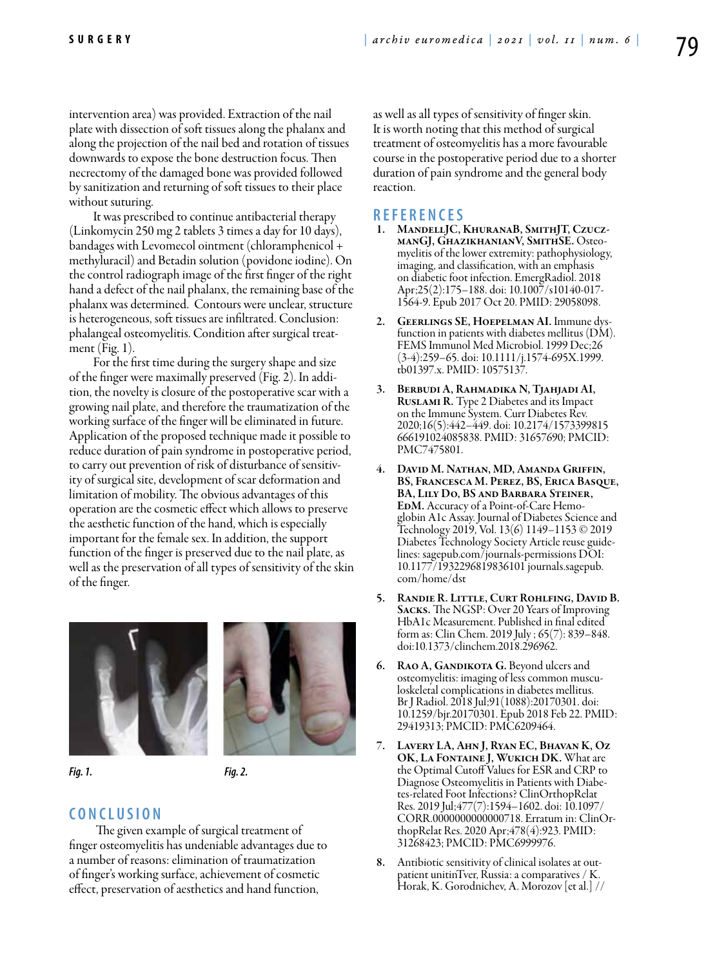intervention area) was provided. Extraction of the nail plate with dissection of soft tissues along the phalanx and along the projection of the nail bed and rotation of tissues downwards to expose the bone destruction focus. Then necrectomy of the damaged bone was provided followed by sanitization and returning of soft tissues to their place without suturing.

It was prescribed to continue antibacterial therapy (Linkomycin 250 mg 2 tablets 3 times a day for 10 days), bandages with Levomecol ointment (chloramphenicol + methyluracil) and Betadin solution (povidone iodine). On the control radiograph image of the first finger of the right hand a defect of the nail phalanx, the remaining base of the phalanx was determined. Contours were unclear, structure is heterogeneous, soft tissues are infiltrated. Conclusion: phalangeal osteomyelitis. Condition after surgical treatment (Fig. 1).

For the first time during the surgery shape and size of the finger were maximally preserved (Fig. 2). In addition, the novelty is closure of the postoperative scar with a growing nail plate, and therefore the traumatization of the working surface of the finger will be eliminated in future. Application of the proposed technique made it possible to reduce duration of pain syndrome in postoperative period, to carry out prevention of risk of disturbance of sensitivity of surgical site, development of scar deformation and limitation of mobility. The obvious advantages of this operation are the cosmetic effect which allows to preserve the aesthetic function of the hand, which is especially important for the female sex. In addition, the support function of the finger is preserved due to the nail plate, as well as the preservation of all types of sensitivity of the skin of the finger.



*Fig. 1. Fig. 2.*

## **C o n cl u s i o n**

 The given example of surgical treatment of finger osteomyelitis has undeniable advantages due to a number of reasons: elimination of traumatization of finger's working surface, achievement of cosmetic effect, preservation of aesthetics and hand function,

as well as all types of sensitivity of finger skin. It is worth noting that this method of surgical treatment of osteomyelitis has a more favourable course in the postoperative period due to a shorter duration of pain syndrome and the general body reaction.

### **R efe r e n ce s**

- 1. MandellJC, KhuranaB, SmithJT, Czucz-<br>manGJ, GhazikhanianV, SmithSE. Osteo-<br>myelitis of the lower extremity: pathophysiology, imaging, and classification, with an emphasis on diabetic foot infection. EmergRadiol. 2018 Apr;25(2):175–188. doi: 10.1007/s10140-017- 1564-9. Epub 2017 Oct 20. PMID: 29058098.
- GEERLINGS SE, HOEPELMAN AI. Immune dysfunction in patients with diabetes mellitus (DM). FEMS Immunol Med Microbiol. 1999 Dec;26 (3-4):259–65. doi: 10.1111/j.1574-695X.1999. tb01397.x. PMID: 10575137.
- 3. Berbudi A, Rahmadika N, Tjahjadi AI, Ruslami R. Type 2 Diabetes and its Impact on the Immune System. Curr Diabetes Rev. 2020;16(5):442–449. doi: 10.2174/1573399815 666191024085838. PMID: 31657690; PMCID: PMC7475801.
- 4. David M. Nathan, MD, Amanda Griffin, BS, Francesca M. Perez, BS, Erica Basque, BA, Lily Do, BS and Barbara Steiner, EdM. Accuracy of a Point-of-Care Hemoglobin A1c Assay. Journal of Diabetes Science and Technology 2019, Vol. 13(6) 1149–1153 © 2019 Diabetes Technology Society Article reuse guidelines: sagepub.com/journals-permissions DOI: 10.1177/1932296819836101 journals.sagepub. com/home/dst
- 5. Randie R. Little, Curt Rohlfing, David B. Sacks. The NGSP: Over 20 Years of Improving HbA1c Measurement. Published in final edited form as: Clin Chem. 2019 July ; 65(7): 839–848. doi:10.1373/clinchem.2018.296962.
- 6. RAO A, GANDIKOTA G. Beyond ulcers and osteomyelitis: imaging of less common musculoskeletal complications in diabetes mellitus. Br J Radiol. 2018 Jul;91(1088):20170301. doi: 10.1259/bjr.20170301. Epub 2018 Feb 22. PMID: 29419313; PMCID: PMC6209464.
- 7. Lavery LA, Ahn J, Ryan EC, Bhavan K, Oz OK, LA FONTAINE J, WUKICH DK. What are the Optimal Cutoff Values for ESR and CRP to Diagnose Osteomyelitis in Patients with Diabetes-related Foot Infections? ClinOrthopRelat Res. 2019 Jul;477(7):1594–1602. doi: 10.1097/ CORR.0000000000000718. Erratum in: ClinOrthopRelat Res. 2020 Apr;478(4):923. PMID: 31268423; PMCID: PMC6999976.
- 8. Antibiotic sensitivity of clinical isolates at out- patient unitinTver, Russia: a comparatives / K. Horak, K. Gorodnichev, A. Morozov [et al.] //